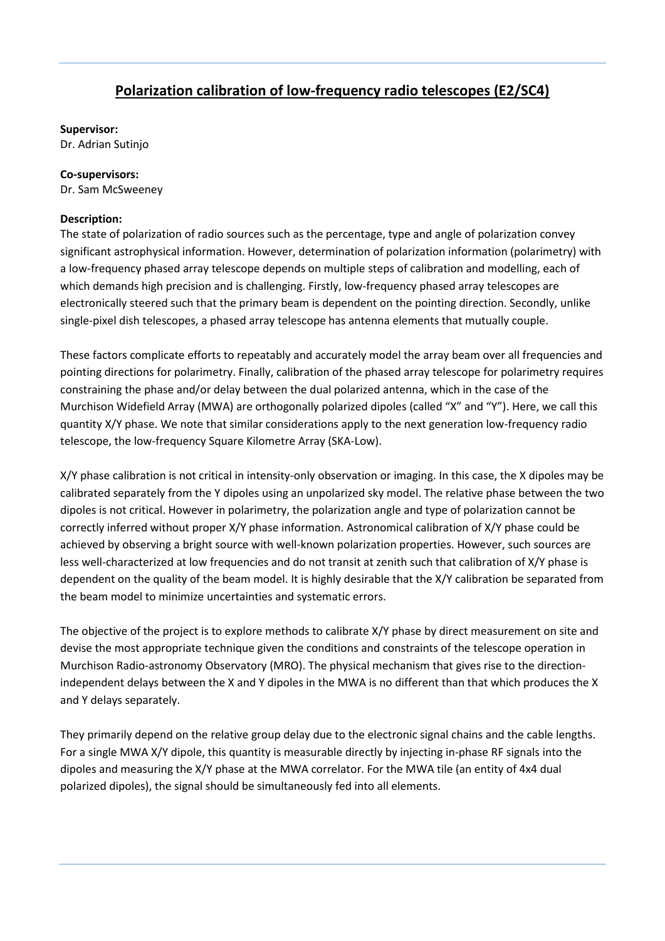## **Polarization calibration of low-frequency radio telescopes (E2/SC4)**

## **Supervisor:**

Dr. Adrian Sutinjo

## **Co-supervisors:**

Dr. Sam McSweeney

## **Description:**

The state of polarization of radio sources such as the percentage, type and angle of polarization convey significant astrophysical information. However, determination of polarization information (polarimetry) with a low-frequency phased array telescope depends on multiple steps of calibration and modelling, each of which demands high precision and is challenging. Firstly, low-frequency phased array telescopes are electronically steered such that the primary beam is dependent on the pointing direction. Secondly, unlike single-pixel dish telescopes, a phased array telescope has antenna elements that mutually couple.

These factors complicate efforts to repeatably and accurately model the array beam over all frequencies and pointing directions for polarimetry. Finally, calibration of the phased array telescope for polarimetry requires constraining the phase and/or delay between the dual polarized antenna, which in the case of the Murchison Widefield Array (MWA) are orthogonally polarized dipoles (called "X" and "Y"). Here, we call this quantity X/Y phase. We note that similar considerations apply to the next generation low-frequency radio telescope, the low-frequency Square Kilometre Array (SKA-Low).

X/Y phase calibration is not critical in intensity-only observation or imaging. In this case, the X dipoles may be calibrated separately from the Y dipoles using an unpolarized sky model. The relative phase between the two dipoles is not critical. However in polarimetry, the polarization angle and type of polarization cannot be correctly inferred without proper X/Y phase information. Astronomical calibration of X/Y phase could be achieved by observing a bright source with well-known polarization properties. However, such sources are less well-characterized at low frequencies and do not transit at zenith such that calibration of X/Y phase is dependent on the quality of the beam model. It is highly desirable that the X/Y calibration be separated from the beam model to minimize uncertainties and systematic errors.

The objective of the project is to explore methods to calibrate X/Y phase by direct measurement on site and devise the most appropriate technique given the conditions and constraints of the telescope operation in Murchison Radio-astronomy Observatory (MRO). The physical mechanism that gives rise to the directionindependent delays between the X and Y dipoles in the MWA is no different than that which produces the X and Y delays separately.

They primarily depend on the relative group delay due to the electronic signal chains and the cable lengths. For a single MWA X/Y dipole, this quantity is measurable directly by injecting in-phase RF signals into the dipoles and measuring the X/Y phase at the MWA correlator. For the MWA tile (an entity of 4x4 dual polarized dipoles), the signal should be simultaneously fed into all elements.